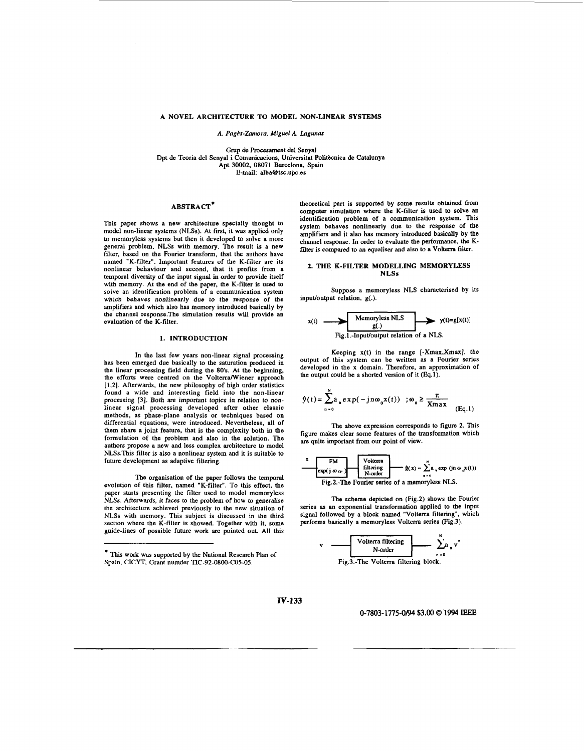# A NOVEL ARCHITECTURE TO MODEL NON-LINEAR SYSTEMS

*A. PagPs-Zamora, Miguel* A. *Lugunar* 

Grup **de** Procesament del Senyal Dpt de Teoria del Senyal i Comunicacions, Universitat Politècnica de Catalunya Apt 30002, 08071 Barcelona, Spain E-mail: alba@tsc.upc.es

# ABSTRACT\*

This paper shows a new architecture specially thought to model non-linear systems (NLSs). At first, it was applied only to memoryless systems but then it developed to solve a more general problem, NLSs with memory. The result is a new filter, based on the Fourier transform, that the authors have named "K-filter". Important features of the K-filter are its nonlinear behaviour and second, that it profits from a temporal diversity of the input signal in order **to** provide itself with memory. At the end of the paper, the K-filter is **used** to solve an identification problem of a communication system which behaves nonlinearly due to the response of the amplifiers and which also has memory introduced basically by the channel response.The simulation results will provide an evaluation of the K-filter.

## **1.** INTRODUCTION

In the last few years non-linear signal processing has been emerged due basically to the saturation produced in the linear processing field during the **8Os.** At the beginning, the efforts were centred on the Volterra/Wiener approach [1,2]. Afterwards, the new philosophy of high order statistics found a wide and interesting field into the non-linear processing **[3].** Both *are* important topics in relation to nonmethods, as phase-plane analysis or techniques based on linear signal processing developed after other classic differential equations, were introduced. Nevertheless, all of them share a joint feature, that is the complexity both in the formulation of the problem and also in the solution. The authors propose a new and less complex architecture to model NLSs.This filter is also a nonlinear system and it is suitable to future development **as** adaptive filtering.

The organisation of the paper follows the temporal evolution of this filter, named "K-filter". To this effect, the paper starts presenting the filter used to model memoryless NLSs. Afterwards, **it** faces **10** the problem of how to generalise the architecture achieved previously to the new situation of NLSs with memory. This subject is discussed in the third section where the K-filter is showed. Together with it, some guide-lines of possible future work are pointed out. All this

\* This work was supported by the National Research Plan of Spain, CICYT, Grant numder TIC-92-0800-CO5-05.

theoretical part is supported by some results obtained from computer simulation where the K-filter is used *to* solve an identification problem of a communication system. This system behaves nonlinearly due to the response of the amplifiers **and** it also has memory introduced basically by the channel response. **In** order to evaluate the performance, the Kfilter is compared *to* an equaliser and also **to** a Volterra filter.

## **2.** THE K-FILTER MODELLING MEMORYLESS NLSs

Suppose a memoryless NLS characterised by its inpuUoutput relation, **g(.).** 

$$
x(t) \longrightarrow \boxed{\text{Memoryless NLS} \atop g(.)} \quad y(t)=g[x(t)]
$$
\nFig.1.-Input/output relation of a NLS.

Keeping x(t) in the range [-Xmax,Xmax], the output of this system can be written as a Fourier series developed in the X domain. Therefore, an approximation Of the output could be a shorted version of it (Eq.1).

$$
\hat{y}(t) = \sum_{n=0}^{N} a_n \exp(-jn\omega_0 x(t)) \quad ; \omega_0 \ge \frac{\pi}{X \max} \quad (Eq.1)
$$

The above expression corresponds to figure 2. This figure makes clear some features of the transformation which are quite important from our point of view.

x  
\n
$$
\begin{array}{c}\n\mathbf{x} \\
\hline\n\text{exp}(j\omega_0) \\
\hline\n\text{Fig.2.-The Fourier series of a memoryless NLS.}\n\end{array}
$$
\n
$$
\begin{array}{c}\n\text{Volterra} \\
\text{filtering} \\
\hline\n\text{N-order} \\
\hline\n\end{array}
$$
\ng(x) = 
$$
\sum_{i=0}^{N} a_i \exp(jn\omega_0 x(t))
$$

The scheme depicted on (Fig.2) shows the Fourier series **as** an exponential transformation applied to the input signal followed by a block named "Volterra filtering", which performs basically **a** memoryless Volterra series (Fig.3).





**IV-133** 

**0-7803-1775-0/94 \$3.00 Q 1994** IEEE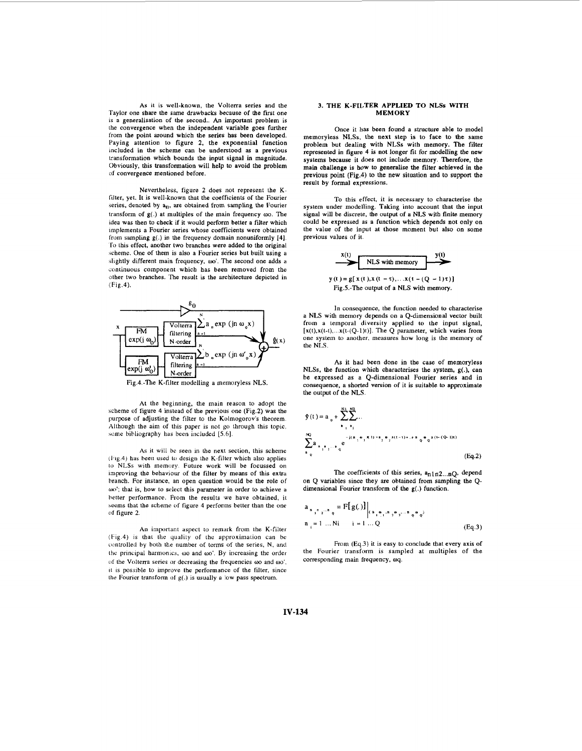As it is well-known, the Volterra series and the Taylor one share the same drawbacks because of the first one is **a** generalisation of the second.. *An* important problem is the convergence when the independent variable goes further from the point around which the series has been developed. Paying attention to figure 2, the exponential function included in the scheme can be understood **as** a previous transformation which bounds the input signal in magnitude. Obviously, this transformation will help to avoid the problem of convergence mentioned before.

Nevertheless, figure *2* does **not** represent the Kfilter, yet. It is well-known that the coefficients of the Fourier series, denoted by  $a_n$ , are obtained from sampling the Fourier transform of g(.) at multiples of the main frequency *00.* The idea was then to check if it would perform better **a** filter which implements a Fourier series whose coefficients were obtained from sampling g(.) in the frequency domain nonuniformly **[4]. 'lo** this effect, another two branches were added to the original scheme. One of them is also a Fourier series but built using a 'slightly different main frequency, **am'.** The second one adds a continuous component which has been removed from the other two branches. The result is the architecture depicted in (Fig. 4).



**At** the beginning. the main reason to adopt the scheme of figure **4** instead *of* the previons one (Fig.2) was the purpose of adjusting the filter to the Kolmogorov's theorem. Although the aim of this paper is not go through this topic. some bibliography has been included [5.6].

As it will be seen in the next section, this scheme **(l.ig.4)** has beeti used **Lo desigil** the K-filler which also applies to NLSs with memory. Future work will be focussed on improving the behaviour of the filter by means of this extra hranch. For instance, an open question would be the role of **om';** that is, how to select this parameter in order to achieve a better performance. From the results we have obtained. it seems that the scheme of figure 4 performs better than the **one**  of figure 2.

An important aspect to remark from the K-filter (Fig.4) is that the quality of the approximation can be controlled by both the number of tcrms of the series. **N. and**  the principal harmonics,  $\omega o$  and  $\omega o'$ . By increasing the order 11f the Voltena **series** or decreasing the frequencies *00* and *uw'.*  **<sup>11</sup>**is possible to improve the performance of the filter, since the Fourier transform of  $g(.)$  is usually a low pass spectrum.

### **3. THE K-FILTER APPLIED TO** NLSs **WITH MEMORY**

Once it has been found a structure able to model memoryless NLSs, the next step is to face to **the** same problem but dealing with NLSs with memory. The filter represented in figure **4** is not longer fit for modelling the new systems because it does not include memory. Therefore, the main challenge is how to generalise the filter achieved in the previous point (Fig.4) to the new situation and to support the result by formal expressions.

To this effect, it is necessary to characterise the system under modelling. Taking into account that the input signal will be discrete, the output of a NLS with finite memory could be expressed as a function which depends **not** only **on**  the value of the input at those moment but also **on** some previous values of it.



 $y(t) = g[x(t),x(t - \tau),...x(t - (Q - 1)\tau)]$ Fig.S.-The output of a NLS with memory.

In consequence, the function needed to characterise a NLS with memory depends on a Q-dimensional vector built from a temporal diversity applied to the input signal,  $[x(t),x(t-t),...x(t-(Q-1)t)]$ . The Q parameter, which varies from one system to another, measures how long is the memory of the NLS.

As it had been done in the case of memoryless NLSs. the function which characterises the system, **g(.),** can he expressed as a Q-dimensional Fourier series and in consequence, a shorted version of it is suitable to approximate the output of the NLS.

$$
\begin{aligned} \n\mathfrak{F}(t) &= a_0 + \sum_{i=1}^{N!} \sum_{i=2}^{N!} \dots \\ \n\sum_{i=0}^{NQ} a_{n_1 + \dots + n_q} e^{-j(a_1 + b_1 + x_1 + x_2 + x_3 + (t-1) + \dots + b_q)} e_q x^{(t- (Q-1)\epsilon)} \\ \n\mathfrak{g} \n\end{aligned} \tag{Eq.2}
$$

The coefficients of this series,  $a_{n1n2...nQ}$ , depend on Q variables since they are obtained from sampling the Qdimensional Fourier transform *of* the g(.) function.

$$
a_{n_{1}n_{2}...n_{q}} = F[g(.)]\Big|_{(n_{1}n_{1}...n_{2}n_{2}...n_{q}n_{q})}
$$
  
\n
$$
n_{i} = 1 ... Ni \t i = 1 ... Q \t (Eq.3)
$$

From (Eq.3) it is easy to conclude that every axis of the Fourier transform is sampled at multiples of the corresponding main frequency, *oq.*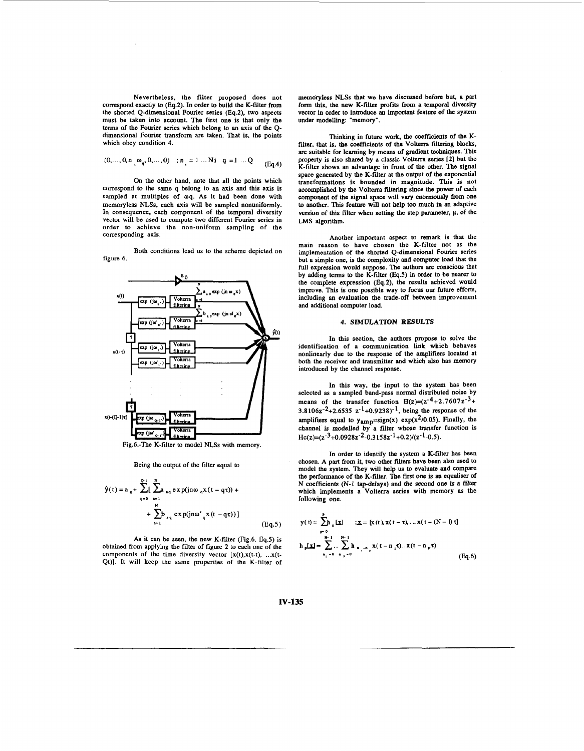Nevertheless, the filter proposed does not correspond exactly to (Eq.2). In order to build the K-filter from the shorted Q-dimensional Fourier series (Eq.2). two aspects must **be** taken into account. The first one is that only the terms of the Fourier series which belong to an axis of the *Q*dimensional Fourier transform are taken. That is, the points which obey condition 4.

$$
(0,\ldots,0,n_{i}\omega_{q},0,\ldots,0) \quad ; \, n_{i}=1\ldots Ni \quad q=1\,\ldots Q \qquad \text{(Eq.4)}
$$

On the other hand, note that all the points which correspond **to** the same q belong to an axis and this axis is sampled at multiples of  $\omega q$ . As it had been done with memoryless NLSs, each axis will **be** sampled nonuniformly. In consequence, each component of the temporal diversity vector will be used to compute two different Fourier series in order to achieve the non-uniform sampling of the corresponding axis.

Both conditions lead **us** to the scheme depicted on figure 6.



Fig.6.-The K-filter to model NLSs with memory.

Being the output of the filter equal to

$$
\hat{y}(t) = a_0 + \sum_{q=0}^{\infty} \left[ \sum_{k=1}^{N} a_{iq} \exp(jn\omega_q x(t - q\tau)) + \sum_{q=0}^{N} b_{iq} \exp(jn\omega_q x(t - q\tau)) \right]
$$
\n
$$
+ \sum_{k=1}^{N} b_{iq} \exp(jn\omega_q x(t - q\tau))
$$
\n(Eq.5)

As it can be seen, the new K-filter (Fig.6, Eq.5) is obtained from applying the filter of figure 2 to each one of the components of the time diversity vector  $[x(t),x(t-t), ...x(t-t)]$ Qt)]. It will keep the same properties of the K-filter of memoryless NLSs that we have discussed before but, a part form **this, the** new K-filter profits from a temporal diversity vector in order to introduce an important feature of the system under modelling: "memory".

Thinking in future work, the coefficients of the Kfilter, that is, the coefficients of the Volterra filtering blocks, are suitable for learning by means of gradient techniques. This property is also shared by a classic Volterra series [2] but the K-filter shows an advantage in front of the other. The signal space generated by the K-filter at the output of the exponential transformations is bounded in magnitude. This is not accomplished by the Volterra filtering since the power of each component of the signal space will vary enormously from one to another. 'Ibis feature will not help too much in an adaptive version of this filter when setting the step parameter,  $\mu$ , of the **LMS** algorithm.

Another important aspect to remark is that the main reason to have chosen the K-filter not as the implementation of the shorted Q-dimensional Fourier series but a simple one, is the complexity and computer **load** that the full expression would suppose. The authors **are** conscious that by adding terms to the K-filter **(Eq.5)** in order to be nearer to the complete expression (Eq.2), the results achieved would improve. This is one possible way to focus our future efforts, including an evaluation the trade-off between improvement and additional computer load.

# **4. SIMULATION RESULTS**

In this section, the authors propose to solve the identification of a communication link which behaves nonlinearly due **to** the response of the amplifiers located at both the receiver and transmitter and which also has memory introduced by the channel response.

In this way, the input to the system has been selected **as** a sampled band-pass normal distributed noise by means of the transfer function  $H(z)=(z^{-4}+2.7607z^{-3}+$  $3.8106z^{-2}+2.6535 z^{-1}+0.9238$ <sup>-1</sup>, being the response of the amplifiers equal to  $y_{amp} = sign(x)$  exp( $x^2/0.05$ ). Finally, the channel is modelled by a filter whose transfer function is  $\text{Hc}(z)=(z^{-3}+0.0928z^{-2}-0.3158z^{-1}+0.2)/(z^{-1}-0.5).$ 

In order to identify the system a K-filter **has** been chosen. A part from it, two other filters have been also used to model the system. They will help **us** to evaluate and compare the performance of the K-filter. The first one is an equaliser of **N** coefficients **(N-1** tap-delays) and the second one is *B* filter which implements a Volterra series with memory as the following one.

$$
y(t) = \sum_{p=0}^{P} [x] \quad :X = [x(t), x(t - \tau), ... x(t - (N - 1)\tau]
$$
  
\n
$$
h_p[X] = \sum_{n_1=0}^{N-1} ... \sum_{n_p=0}^{N-1} h_{n_p,n_p} x(t - n_p\tau) ... x(t - n_p\tau)
$$
 (Eq. 6)

**IV-135**